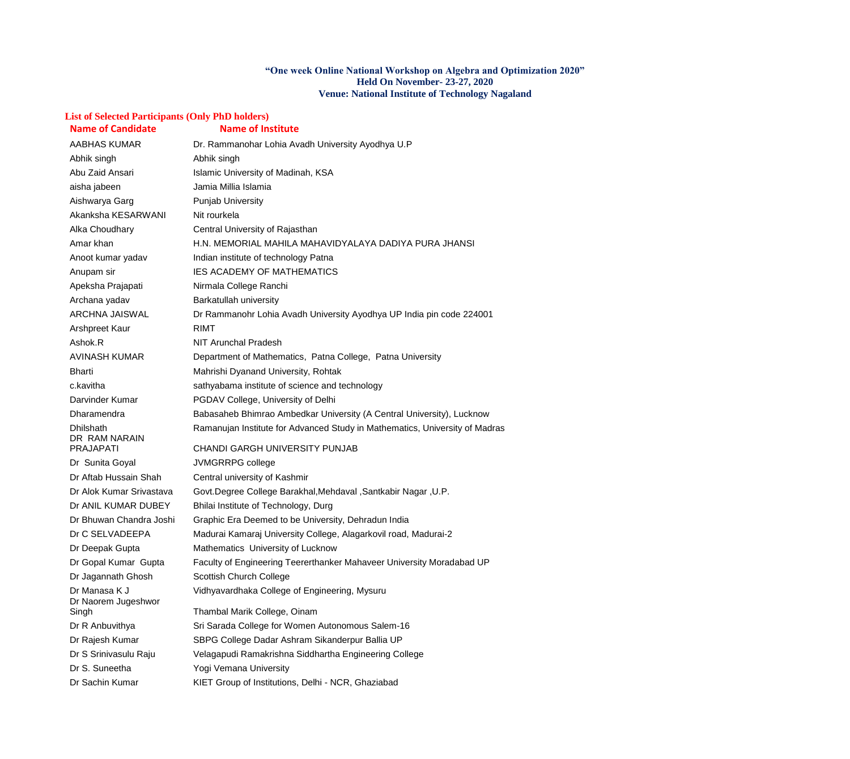#### **"One week Online National Workshop on Algebra and Optimization 2020" Held On November- 23-27, 2020 Venue: National Institute of Technology Nagaland**

## **List of Selected Participants (Only PhD holders)**

| <b>Name of Candidate</b>          | <b>Name of Institute</b>                                                    |
|-----------------------------------|-----------------------------------------------------------------------------|
| <b>AABHAS KUMAR</b>               | Dr. Rammanohar Lohia Avadh University Ayodhya U.P                           |
| Abhik singh                       | Abhik singh                                                                 |
| Abu Zaid Ansari                   | Islamic University of Madinah, KSA                                          |
| aisha jabeen                      | Jamia Millia Islamia                                                        |
| Aishwarya Garg                    | <b>Punjab University</b>                                                    |
| Akanksha KESARWANI                | Nit rourkela                                                                |
| Alka Choudhary                    | Central University of Rajasthan                                             |
| Amar khan                         | H.N. MEMORIAL MAHILA MAHAVIDYALAYA DADIYA PURA JHANSI                       |
| Anoot kumar yadav                 | Indian institute of technology Patna                                        |
| Anupam sir                        | IES ACADEMY OF MATHEMATICS                                                  |
| Apeksha Prajapati                 | Nirmala College Ranchi                                                      |
| Archana yadav                     | Barkatullah university                                                      |
| <b>ARCHNA JAISWAL</b>             | Dr Rammanohr Lohia Avadh University Ayodhya UP India pin code 224001        |
| Arshpreet Kaur                    | <b>RIMT</b>                                                                 |
| Ashok.R                           | <b>NIT Arunchal Pradesh</b>                                                 |
| <b>AVINASH KUMAR</b>              | Department of Mathematics, Patna College, Patna University                  |
| <b>Bharti</b>                     | Mahrishi Dyanand University, Rohtak                                         |
| c.kavitha                         | sathyabama institute of science and technology                              |
| Darvinder Kumar                   | PGDAV College, University of Delhi                                          |
| Dharamendra                       | Babasaheb Bhimrao Ambedkar University (A Central University), Lucknow       |
| Dhilshath                         | Ramanujan Institute for Advanced Study in Mathematics, University of Madras |
| DR RAM NARAIN<br><b>PRAJAPATI</b> | <b>CHANDI GARGH UNIVERSITY PUNJAB</b>                                       |
| Dr Sunita Goyal                   | JVMGRRPG college                                                            |
| Dr Aftab Hussain Shah             | Central university of Kashmir                                               |
| Dr Alok Kumar Srivastava          | Govt.Degree College Barakhal, Mehdaval, Santkabir Nagar, U.P.               |
| Dr ANIL KUMAR DUBEY               | Bhilai Institute of Technology, Durg                                        |
| Dr Bhuwan Chandra Joshi           | Graphic Era Deemed to be University, Dehradun India                         |
| Dr C SELVADEEPA                   | Madurai Kamaraj University College, Alagarkovil road, Madurai-2             |
| Dr Deepak Gupta                   | Mathematics University of Lucknow                                           |
| Dr Gopal Kumar Gupta              | Faculty of Engineering Teererthanker Mahaveer University Moradabad UP       |
| Dr Jagannath Ghosh                | <b>Scottish Church College</b>                                              |
| Dr Manasa K J                     | Vidhyavardhaka College of Engineering, Mysuru                               |
| Dr Naorem Jugeshwor               |                                                                             |
| Singh                             | Thambal Marik College, Oinam                                                |
| Dr R Anbuvithya                   | Sri Sarada College for Women Autonomous Salem-16                            |
| Dr Rajesh Kumar                   | SBPG College Dadar Ashram Sikanderpur Ballia UP                             |
| Dr S Srinivasulu Raju             | Velagapudi Ramakrishna Siddhartha Engineering College                       |
| Dr S. Suneetha                    | Yogi Vemana University                                                      |
| Dr Sachin Kumar                   | KIET Group of Institutions, Delhi - NCR, Ghaziabad                          |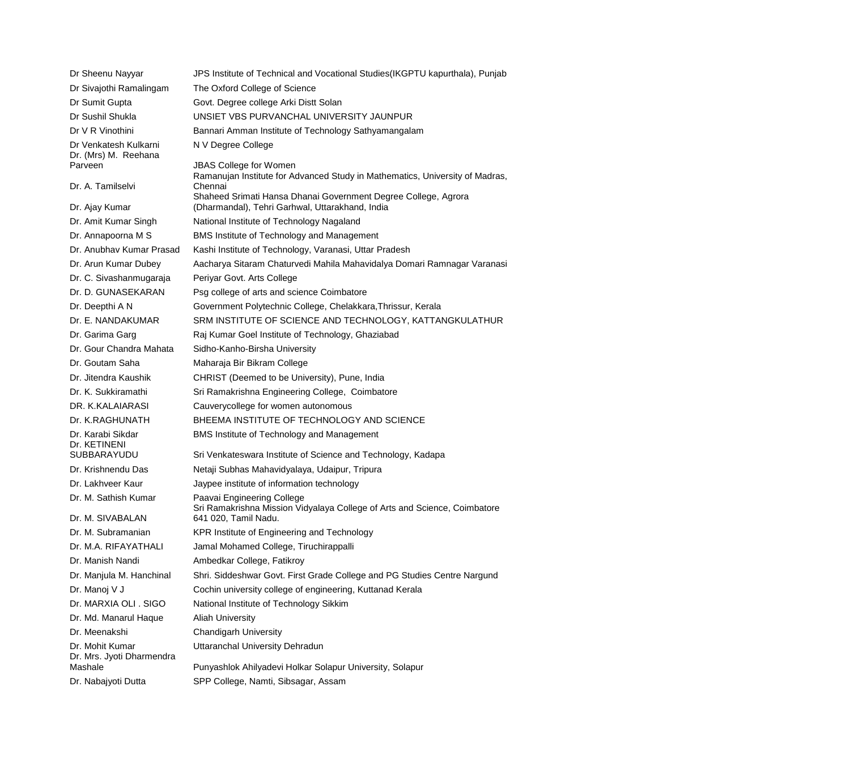| Dr Sheenu Nayyar                                        | JPS Institute of Technical and Vocational Studies (IKGPTU kapurthala), Punjab                                     |
|---------------------------------------------------------|-------------------------------------------------------------------------------------------------------------------|
| Dr Sivajothi Ramalingam                                 | The Oxford College of Science                                                                                     |
| Dr Sumit Gupta                                          | Govt. Degree college Arki Distt Solan                                                                             |
| Dr Sushil Shukla                                        | UNSIET VBS PURVANCHAL UNIVERSITY JAUNPUR                                                                          |
| Dr V R Vinothini                                        | Bannari Amman Institute of Technology Sathyamangalam                                                              |
| Dr Venkatesh Kulkarni<br>Dr. (Mrs) M. Reehana           | N V Degree College                                                                                                |
| Parveen                                                 | <b>JBAS College for Women</b>                                                                                     |
| Dr. A. Tamilselvi                                       | Ramanujan Institute for Advanced Study in Mathematics, University of Madras,<br>Chennai                           |
| Dr. Ajay Kumar                                          | Shaheed Srimati Hansa Dhanai Government Degree College, Agrora<br>(Dharmandal), Tehri Garhwal, Uttarakhand, India |
| Dr. Amit Kumar Singh                                    | National Institute of Technology Nagaland                                                                         |
| Dr. Annapoorna M S                                      | <b>BMS Institute of Technology and Management</b>                                                                 |
| Dr. Anubhav Kumar Prasad                                | Kashi Institute of Technology, Varanasi, Uttar Pradesh                                                            |
| Dr. Arun Kumar Dubey                                    | Aacharya Sitaram Chaturvedi Mahila Mahavidalya Domari Ramnagar Varanasi                                           |
| Dr. C. Sivashanmugaraja                                 | Periyar Govt. Arts College                                                                                        |
| Dr. D. GUNASEKARAN                                      | Psg college of arts and science Coimbatore                                                                        |
| Dr. Deepthi A N                                         | Government Polytechnic College, Chelakkara, Thrissur, Kerala                                                      |
| Dr. E. NANDAKUMAR                                       | SRM INSTITUTE OF SCIENCE AND TECHNOLOGY, KATTANGKULATHUR                                                          |
| Dr. Garima Garg                                         | Raj Kumar Goel Institute of Technology, Ghaziabad                                                                 |
| Dr. Gour Chandra Mahata                                 | Sidho-Kanho-Birsha University                                                                                     |
| Dr. Goutam Saha                                         | Maharaja Bir Bikram College                                                                                       |
| Dr. Jitendra Kaushik                                    | CHRIST (Deemed to be University), Pune, India                                                                     |
| Dr. K. Sukkiramathi                                     | Sri Ramakrishna Engineering College, Coimbatore                                                                   |
| DR. K.KALAIARASI                                        | Cauverycollege for women autonomous                                                                               |
| Dr. K.RAGHUNATH                                         | BHEEMA INSTITUTE OF TECHNOLOGY AND SCIENCE                                                                        |
| Dr. Karabi Sikdar<br>Dr. KETINENI                       | BMS Institute of Technology and Management                                                                        |
| SUBBARAYUDU                                             | Sri Venkateswara Institute of Science and Technology, Kadapa                                                      |
| Dr. Krishnendu Das                                      | Netaji Subhas Mahavidyalaya, Udaipur, Tripura                                                                     |
| Dr. Lakhveer Kaur                                       | Jaypee institute of information technology                                                                        |
| Dr. M. Sathish Kumar<br>Dr. M. SIVABALAN                | Paavai Engineering College<br>Sri Ramakrishna Mission Vidyalaya College of Arts and Science, Coimbatore           |
|                                                         | 641 020, Tamil Nadu.                                                                                              |
| Dr. M. Subramanian<br>Dr. M.A. RIFAYATHALI              | KPR Institute of Engineering and Technology                                                                       |
|                                                         | Jamal Mohamed College, Tiruchirappalli                                                                            |
| Dr. Manish Nandi                                        | Ambedkar College, Fatikroy                                                                                        |
| Dr. Manjula M. Hanchinal                                | Shri. Siddeshwar Govt. First Grade College and PG Studies Centre Nargund                                          |
| Dr. Manoj V J                                           | Cochin university college of engineering, Kuttanad Kerala                                                         |
| Dr. MARXIA OLI . SIGO                                   | National Institute of Technology Sikkim                                                                           |
| Dr. Md. Manarul Haque                                   | <b>Aliah University</b>                                                                                           |
| Dr. Meenakshi                                           | <b>Chandigarh University</b>                                                                                      |
| Dr. Mohit Kumar<br>Dr. Mrs. Jyoti Dharmendra<br>Mashale | Uttaranchal University Dehradun                                                                                   |
|                                                         | Punyashlok Ahilyadevi Holkar Solapur University, Solapur                                                          |
| Dr. Nabajyoti Dutta                                     | SPP College, Namti, Sibsagar, Assam                                                                               |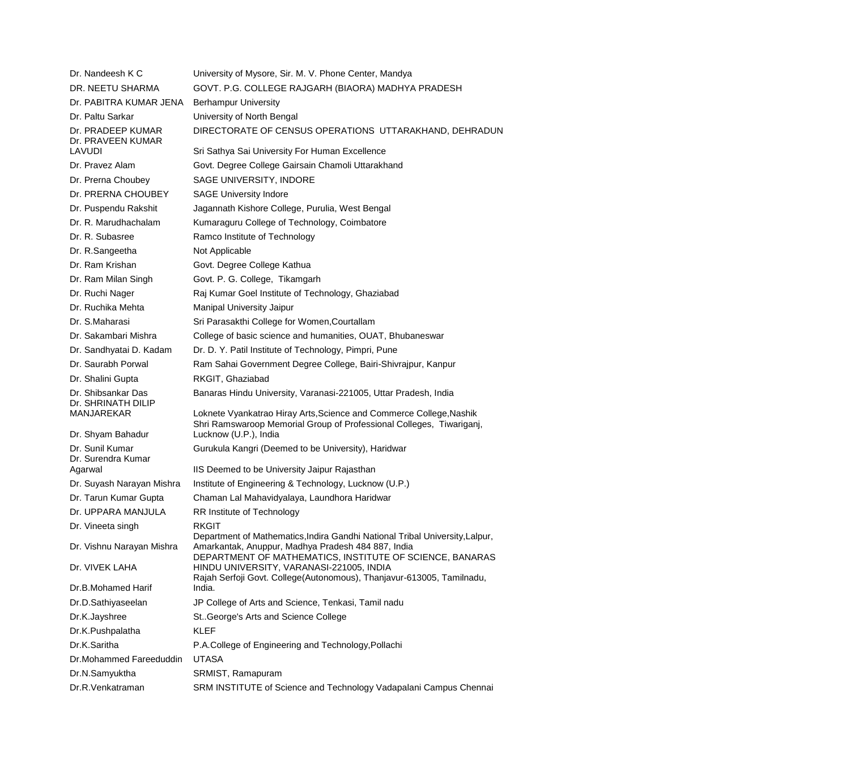| Dr. Nandeesh K C                                 | University of Mysore, Sir. M. V. Phone Center, Mandya                                                                                       |
|--------------------------------------------------|---------------------------------------------------------------------------------------------------------------------------------------------|
| DR. NEETU SHARMA                                 | GOVT. P.G. COLLEGE RAJGARH (BIAORA) MADHYA PRADESH                                                                                          |
| Dr. PABITRA KUMAR JENA                           | <b>Berhampur University</b>                                                                                                                 |
| Dr. Paltu Sarkar                                 | University of North Bengal                                                                                                                  |
| Dr. PRADEEP KUMAR<br>Dr. PRAVEEN KUMAR           | DIRECTORATE OF CENSUS OPERATIONS UTTARAKHAND, DEHRADUN                                                                                      |
| <b>LAVUDI</b>                                    | Sri Sathya Sai University For Human Excellence                                                                                              |
| Dr. Pravez Alam                                  | Govt. Degree College Gairsain Chamoli Uttarakhand                                                                                           |
| Dr. Prerna Choubey                               | SAGE UNIVERSITY, INDORE                                                                                                                     |
| Dr. PRERNA CHOUBEY                               | <b>SAGE University Indore</b>                                                                                                               |
| Dr. Puspendu Rakshit                             | Jagannath Kishore College, Purulia, West Bengal                                                                                             |
| Dr. R. Marudhachalam                             | Kumaraguru College of Technology, Coimbatore                                                                                                |
| Dr. R. Subasree                                  | Ramco Institute of Technology                                                                                                               |
| Dr. R.Sangeetha                                  | Not Applicable                                                                                                                              |
| Dr. Ram Krishan                                  | Govt. Degree College Kathua                                                                                                                 |
| Dr. Ram Milan Singh                              | Govt. P. G. College, Tikamgarh                                                                                                              |
| Dr. Ruchi Nager                                  | Raj Kumar Goel Institute of Technology, Ghaziabad                                                                                           |
| Dr. Ruchika Mehta                                | <b>Manipal University Jaipur</b>                                                                                                            |
| Dr. S.Maharasi                                   | Sri Parasakthi College for Women, Courtallam                                                                                                |
| Dr. Sakambari Mishra                             | College of basic science and humanities, OUAT, Bhubaneswar                                                                                  |
| Dr. Sandhyatai D. Kadam                          | Dr. D. Y. Patil Institute of Technology, Pimpri, Pune                                                                                       |
| Dr. Saurabh Porwal                               | Ram Sahai Government Degree College, Bairi-Shivrajpur, Kanpur                                                                               |
| Dr. Shalini Gupta                                | RKGIT, Ghaziabad                                                                                                                            |
| Dr. Shibsankar Das<br>Dr. SHRINATH DILIP         | Banaras Hindu University, Varanasi-221005, Uttar Pradesh, India                                                                             |
| MANJAREKAR                                       | Loknete Vyankatrao Hiray Arts, Science and Commerce College, Nashik<br>Shri Ramswaroop Memorial Group of Professional Colleges, Tiwariganj, |
| Dr. Shyam Bahadur                                | Lucknow (U.P.), India                                                                                                                       |
| Dr. Sunil Kumar<br>Dr. Surendra Kumar<br>Agarwal | Gurukula Kangri (Deemed to be University), Haridwar<br>IIS Deemed to be University Jaipur Rajasthan                                         |
| Dr. Suyash Narayan Mishra                        |                                                                                                                                             |
| Dr. Tarun Kumar Gupta                            | Institute of Engineering & Technology, Lucknow (U.P.)<br>Chaman Lal Mahavidyalaya, Laundhora Haridwar                                       |
| Dr. UPPARA MANJULA                               |                                                                                                                                             |
|                                                  | RR Institute of Technology<br><b>RKGIT</b>                                                                                                  |
| Dr. Vineeta singh<br>Dr. Vishnu Narayan Mishra   | Department of Mathematics, Indira Gandhi National Tribal University, Lalpur,<br>Amarkantak, Anuppur, Madhya Pradesh 484 887, India          |
|                                                  | DEPARTMENT OF MATHEMATICS, INSTITUTE OF SCIENCE, BANARAS                                                                                    |
| Dr. VIVEK LAHA                                   | HINDU UNIVERSITY, VARANASI-221005, INDIA<br>Rajah Serfoji Govt. College(Autonomous), Thanjavur-613005, Tamilnadu,                           |
| Dr.B.Mohamed Harif                               | India.                                                                                                                                      |
| Dr.D.Sathiyaseelan                               | JP College of Arts and Science, Tenkasi, Tamil nadu                                                                                         |
| Dr.K.Jayshree                                    | St. George's Arts and Science College                                                                                                       |
| Dr.K.Pushpalatha                                 | <b>KLEF</b>                                                                                                                                 |
| Dr.K.Saritha                                     | P.A.College of Engineering and Technology, Pollachi                                                                                         |
| Dr.Mohammed Fareeduddin                          | <b>UTASA</b>                                                                                                                                |
| Dr.N.Samyuktha                                   | SRMIST, Ramapuram                                                                                                                           |
| Dr.R.Venkatraman                                 | SRM INSTITUTE of Science and Technology Vadapalani Campus Chennai                                                                           |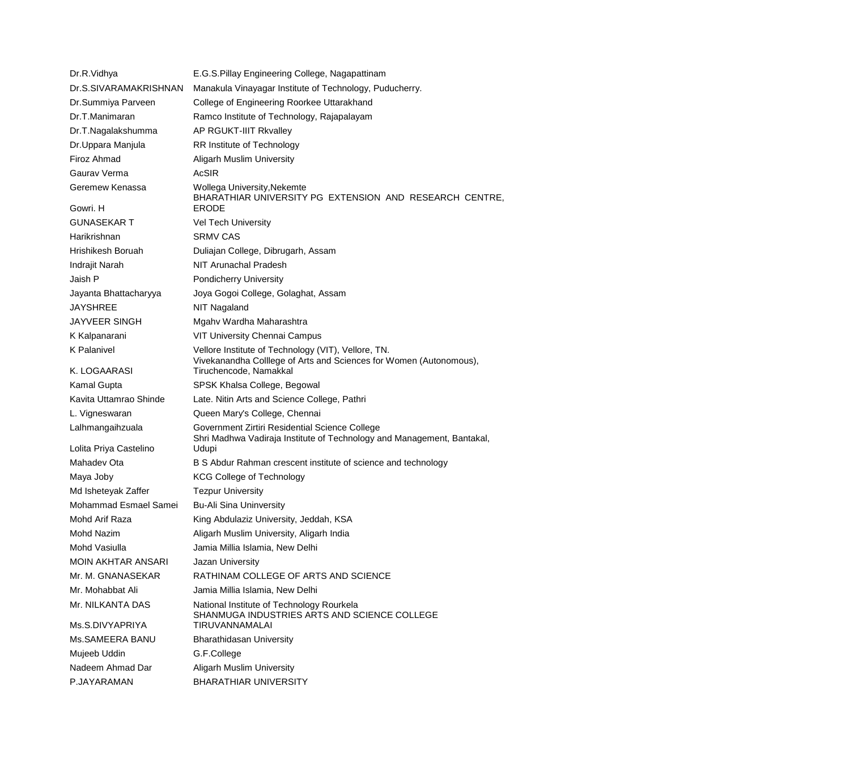| Dr.R.Vidhya               | E.G.S. Pillay Engineering College, Nagapattinam                                                                           |
|---------------------------|---------------------------------------------------------------------------------------------------------------------------|
| Dr.S.SIVARAMAKRISHNAN     | Manakula Vinayagar Institute of Technology, Puducherry.                                                                   |
| Dr.Summiya Parveen        | College of Engineering Roorkee Uttarakhand                                                                                |
| Dr.T.Manimaran            | Ramco Institute of Technology, Rajapalayam                                                                                |
| Dr.T.Nagalakshumma        | AP RGUKT-IIIT Rkvalley                                                                                                    |
| Dr.Uppara Manjula         | RR Institute of Technology                                                                                                |
| Firoz Ahmad               | <b>Aligarh Muslim University</b>                                                                                          |
| Gaurav Verma              | <b>AcSIR</b>                                                                                                              |
| Geremew Kenassa           | Wollega University, Nekemte                                                                                               |
| Gowri. H                  | BHARATHIAR UNIVERSITY PG EXTENSION AND RESEARCH CENTRE,<br><b>ERODE</b>                                                   |
| <b>GUNASEKAR T</b>        | <b>Vel Tech University</b>                                                                                                |
| Harikrishnan              | <b>SRMV CAS</b>                                                                                                           |
| Hrishikesh Boruah         | Duliajan College, Dibrugarh, Assam                                                                                        |
| <b>Indrajit Narah</b>     | NIT Arunachal Pradesh                                                                                                     |
| Jaish P                   | <b>Pondicherry University</b>                                                                                             |
| Jayanta Bhattacharyya     | Joya Gogoi College, Golaghat, Assam                                                                                       |
| <b>JAYSHREE</b>           | <b>NIT Nagaland</b>                                                                                                       |
| <b>JAYVEER SINGH</b>      | Mgahv Wardha Maharashtra                                                                                                  |
| K Kalpanarani             | <b>VIT University Chennai Campus</b>                                                                                      |
| <b>K</b> Palanivel        | Vellore Institute of Technology (VIT), Vellore, TN.<br>Vivekanandha Colllege of Arts and Sciences for Women (Autonomous), |
| K. LOGAARASI              | Tiruchencode, Namakkal                                                                                                    |
| <b>Kamal Gupta</b>        | SPSK Khalsa College, Begowal                                                                                              |
| Kavita Uttamrao Shinde    | Late. Nitin Arts and Science College, Pathri                                                                              |
| L. Vigneswaran            | Queen Mary's College, Chennai                                                                                             |
| Lalhmangaihzuala          | Government Zirtiri Residential Science College<br>Shri Madhwa Vadiraja Institute of Technology and Management, Bantakal,  |
| Lolita Priya Castelino    | Udupi                                                                                                                     |
| Mahadev Ota               | B S Abdur Rahman crescent institute of science and technology                                                             |
| Maya Joby                 | <b>KCG College of Technology</b>                                                                                          |
| Md Isheteyak Zaffer       | <b>Tezpur University</b>                                                                                                  |
| Mohammad Esmael Samei     | <b>Bu-Ali Sina Uninversity</b>                                                                                            |
| Mohd Arif Raza            | King Abdulaziz University, Jeddah, KSA                                                                                    |
| Mohd Nazim                | Aligarh Muslim University, Aligarh India                                                                                  |
| Mohd Vasiulla             | Jamia Millia Islamia, New Delhi                                                                                           |
| <b>MOIN AKHTAR ANSARI</b> | Jazan University                                                                                                          |
| Mr. M. GNANASEKAR         | RATHINAM COLLEGE OF ARTS AND SCIENCE                                                                                      |
| Mr. Mohabbat Ali          | Jamia Millia Islamia, New Delhi                                                                                           |
| Mr. NILKANTA DAS          | National Institute of Technology Rourkela<br>SHANMUGA INDUSTRIES ARTS AND SCIENCE COLLEGE                                 |
| Ms.S.DIVYAPRIYA           | TIRUVANNAMALAI                                                                                                            |
| Ms.SAMEERA BANU           | <b>Bharathidasan University</b>                                                                                           |
| Mujeeb Uddin              | G.F.College                                                                                                               |
| Nadeem Ahmad Dar          | <b>Aligarh Muslim University</b>                                                                                          |
| P.JAYARAMAN               | <b>BHARATHIAR UNIVERSITY</b>                                                                                              |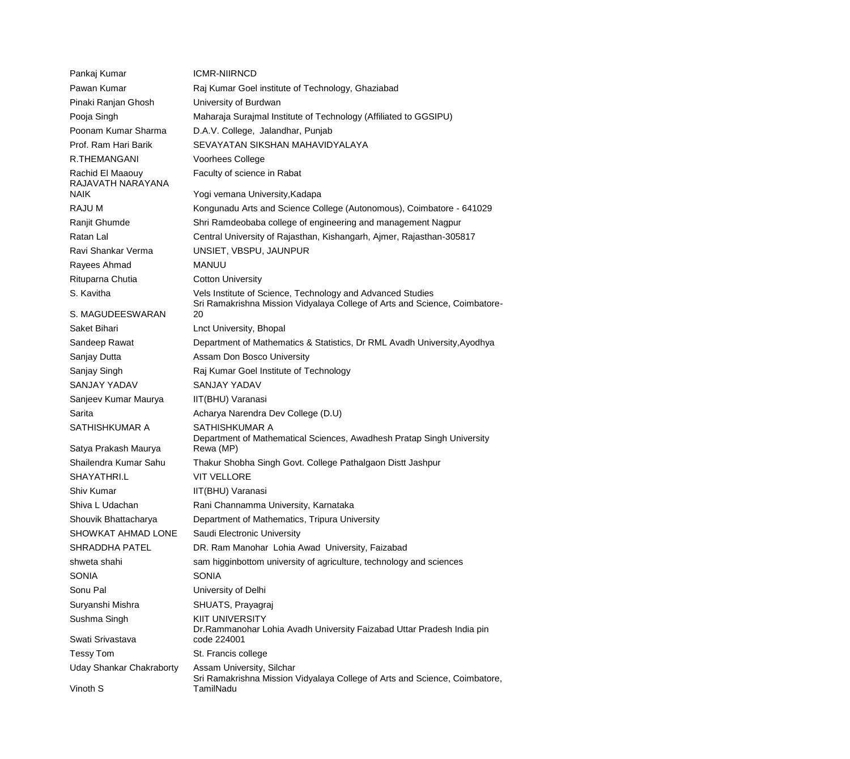| Pankaj Kumar                          | ICMR-NIIRNCD                                                                                                                             |
|---------------------------------------|------------------------------------------------------------------------------------------------------------------------------------------|
| Pawan Kumar                           | Raj Kumar Goel institute of Technology, Ghaziabad                                                                                        |
| Pinaki Ranjan Ghosh                   | University of Burdwan                                                                                                                    |
| Pooja Singh                           | Maharaja Surajmal Institute of Technology (Affiliated to GGSIPU)                                                                         |
| Poonam Kumar Sharma                   | D.A.V. College, Jalandhar, Punjab                                                                                                        |
| Prof. Ram Hari Barik                  | SEVAYATAN SIKSHAN MAHAVIDYALAYA                                                                                                          |
| <b>R.THEMANGANI</b>                   | Voorhees College                                                                                                                         |
| Rachid El Maaouy<br>RAJAVATH NARAYANA | Faculty of science in Rabat                                                                                                              |
| <b>NAIK</b>                           | Yogi vemana University, Kadapa                                                                                                           |
| RAJU M                                | Kongunadu Arts and Science College (Autonomous), Coimbatore - 641029                                                                     |
| Ranjit Ghumde                         | Shri Ramdeobaba college of engineering and management Nagpur                                                                             |
| Ratan Lal                             | Central University of Rajasthan, Kishangarh, Ajmer, Rajasthan-305817                                                                     |
| Ravi Shankar Verma                    | UNSIET, VBSPU, JAUNPUR                                                                                                                   |
| Rayees Ahmad                          | <b>MANUU</b>                                                                                                                             |
| Rituparna Chutia                      | <b>Cotton University</b>                                                                                                                 |
| S. Kavitha                            | Vels Institute of Science, Technology and Advanced Studies<br>Sri Ramakrishna Mission Vidyalaya College of Arts and Science, Coimbatore- |
| S. MAGUDEESWARAN                      | 20                                                                                                                                       |
| Saket Bihari                          | Lnct University, Bhopal                                                                                                                  |
| Sandeep Rawat                         | Department of Mathematics & Statistics, Dr RML Avadh University, Ayodhya                                                                 |
| Sanjay Dutta                          | Assam Don Bosco University                                                                                                               |
| Sanjay Singh                          | Raj Kumar Goel Institute of Technology                                                                                                   |
| <b>SANJAY YADAV</b>                   | <b>SANJAY YADAV</b>                                                                                                                      |
| Sanjeev Kumar Maurya                  | IIT(BHU) Varanasi                                                                                                                        |
| Sarita                                | Acharya Narendra Dev College (D.U)                                                                                                       |
| SATHISHKUMAR A                        | SATHISHKUMAR A                                                                                                                           |
| Satya Prakash Maurya                  | Department of Mathematical Sciences, Awadhesh Pratap Singh University<br>Rewa (MP)                                                       |
| Shailendra Kumar Sahu                 | Thakur Shobha Singh Govt. College Pathalgaon Distt Jashpur                                                                               |
| SHAYATHRI.L                           | VIT VELLORE                                                                                                                              |
| Shiv Kumar                            | IIT(BHU) Varanasi                                                                                                                        |
| Shiva L Udachan                       | Rani Channamma University, Karnataka                                                                                                     |
| Shouvik Bhattacharya                  | Department of Mathematics, Tripura University                                                                                            |
| SHOWKAT AHMAD LONE                    | Saudi Electronic University                                                                                                              |
| <b>SHRADDHA PATEL</b>                 | DR. Ram Manohar Lohia Awad University, Faizabad                                                                                          |
| shweta shahi                          | sam higginbottom university of agriculture, technology and sciences                                                                      |
| <b>SONIA</b>                          | <b>SONIA</b>                                                                                                                             |
| Sonu Pal                              | University of Delhi                                                                                                                      |
| Suryanshi Mishra                      | SHUATS, Prayagraj                                                                                                                        |
| Sushma Singh                          | <b>KIIT UNIVERSITY</b><br>Dr. Rammanohar Lohia Avadh University Faizabad Uttar Pradesh India pin                                         |
| Swati Srivastava                      | code 224001                                                                                                                              |
| <b>Tessy Tom</b>                      | St. Francis college                                                                                                                      |
| <b>Uday Shankar Chakraborty</b>       | Assam University, Silchar<br>Sri Ramakrishna Mission Vidyalaya College of Arts and Science, Coimbatore,                                  |
| Vinoth S                              | TamilNadu                                                                                                                                |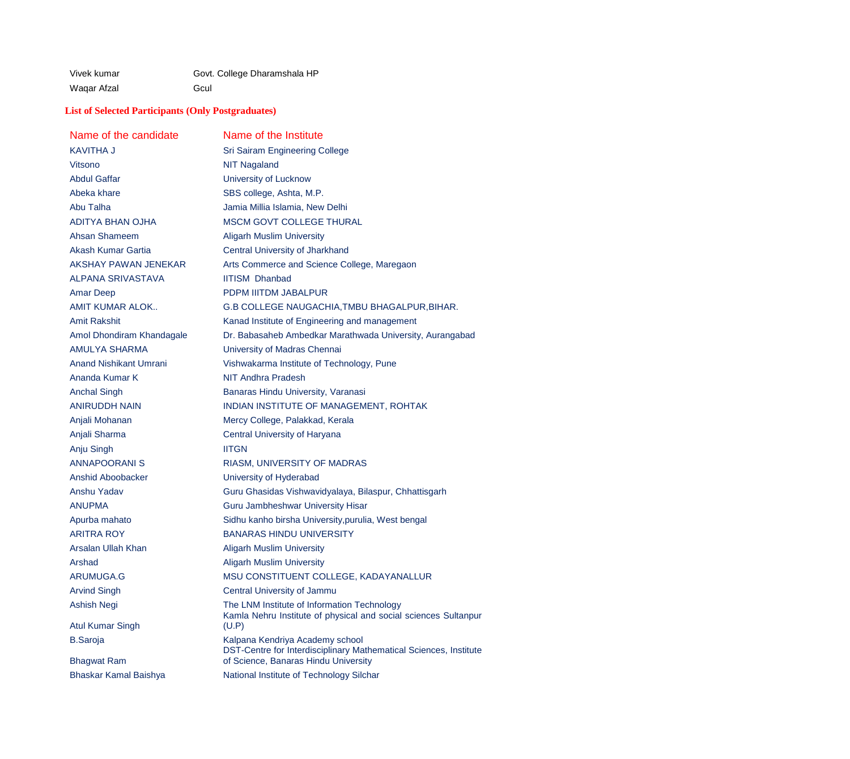Waqar Afzal **G**cul

# Vivek kumar Govt. College Dharamshala HP

# **List of Selected Participants (Only Postgraduates)**

| Name of the candidate         | Name of the Institute                                                                                |
|-------------------------------|------------------------------------------------------------------------------------------------------|
| KAVITHA J                     | <b>Sri Sairam Engineering College</b>                                                                |
| Vitsono                       | <b>NIT Nagaland</b>                                                                                  |
| <b>Abdul Gaffar</b>           | University of Lucknow                                                                                |
| Abeka khare                   | SBS college, Ashta, M.P.                                                                             |
| Abu Talha                     | Jamia Millia Islamia, New Delhi                                                                      |
| <b>ADITYA BHAN OJHA</b>       | <b>MSCM GOVT COLLEGE THURAL</b>                                                                      |
| Ahsan Shameem                 | <b>Aligarh Muslim University</b>                                                                     |
| Akash Kumar Gartia            | Central University of Jharkhand                                                                      |
| AKSHAY PAWAN JENEKAR          | Arts Commerce and Science College, Maregaon                                                          |
| <b>ALPANA SRIVASTAVA</b>      | <b>IITISM Dhanbad</b>                                                                                |
| <b>Amar Deep</b>              | PDPM IIITDM JABALPUR                                                                                 |
| AMIT KUMAR ALOK               | G.B COLLEGE NAUGACHIA, TMBU BHAGALPUR, BIHAR.                                                        |
| <b>Amit Rakshit</b>           | Kanad Institute of Engineering and management                                                        |
| Amol Dhondiram Khandagale     | Dr. Babasaheb Ambedkar Marathwada University, Aurangabad                                             |
| <b>AMULYA SHARMA</b>          | University of Madras Chennai                                                                         |
| <b>Anand Nishikant Umrani</b> | Vishwakarma Institute of Technology, Pune                                                            |
| Ananda Kumar K                | <b>NIT Andhra Pradesh</b>                                                                            |
| <b>Anchal Singh</b>           | Banaras Hindu University, Varanasi                                                                   |
| <b>ANIRUDDH NAIN</b>          | INDIAN INSTITUTE OF MANAGEMENT, ROHTAK                                                               |
| Anjali Mohanan                | Mercy College, Palakkad, Kerala                                                                      |
| Anjali Sharma                 | Central University of Haryana                                                                        |
| Anju Singh                    | <b>IITGN</b>                                                                                         |
| <b>ANNAPOORANIS</b>           | RIASM, UNIVERSITY OF MADRAS                                                                          |
| <b>Anshid Aboobacker</b>      | University of Hyderabad                                                                              |
| Anshu Yadav                   | Guru Ghasidas Vishwavidyalaya, Bilaspur, Chhattisgarh                                                |
| ANUPMA                        | Guru Jambheshwar University Hisar                                                                    |
| Apurba mahato                 | Sidhu kanho birsha University, purulia, West bengal                                                  |
| ARITRA ROY                    | <b>BANARAS HINDU UNIVERSITY</b>                                                                      |
| Arsalan Ullah Khan            | <b>Aligarh Muslim University</b>                                                                     |
| Arshad                        | <b>Aligarh Muslim University</b>                                                                     |
| <b>ARUMUGA.G</b>              | MSU CONSTITUENT COLLEGE, KADAYANALLUR                                                                |
| <b>Arvind Singh</b>           | Central University of Jammu                                                                          |
| Ashish Negi                   | The LNM Institute of Information Technology                                                          |
| <b>Atul Kumar Singh</b>       | Kamla Nehru Institute of physical and social sciences Sultanpur<br>(U.P)                             |
| <b>B.Saroja</b>               | Kalpana Kendriya Academy school<br>DST-Centre for Interdisciplinary Mathematical Sciences, Institute |
| <b>Bhagwat Ram</b>            | of Science, Banaras Hindu University                                                                 |
| Bhaskar Kamal Baishya         | National Institute of Technology Silchar                                                             |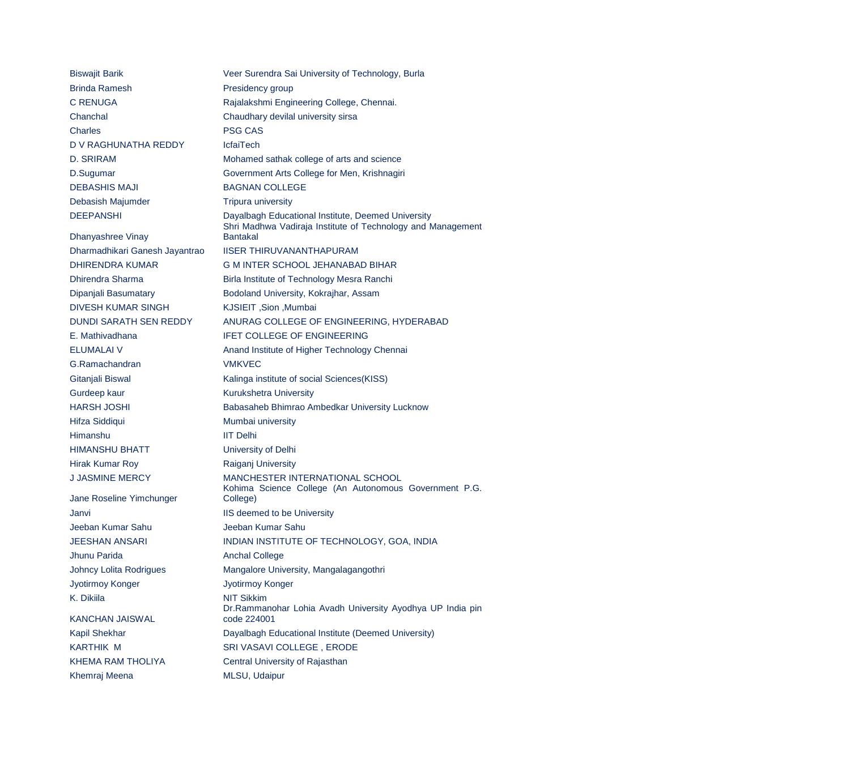Brinda Ramesh **Presidency group** C RENUGA Rajalakshmi Engineering College, Chennai. Chanchal Chaudhary devilal university sirsa Charles PSG CAS D V RAGHUNATHA REDDY IcfaiTech D. SRIRAM Mohamed sathak college of arts and science D.Sugumar Government Arts College for Men, Krishnagiri DEBASHIS MAJI BAGNAN COLLEGE Debasish Majumder Tripura university Dhanyashree Vinay Dharmadhikari Ganesh Jayantrao IISER THIRUVANANTHAPURAM DHIRENDRA KUMAR G M INTER SCHOOL JEHANABAD BIHAR Dhirendra Sharma Birla Institute of Technology Mesra Ranchi Dipanjali Basumatary Bodoland University, Kokrajhar, Assam DIVESH KUMAR SINGH KJSIEIT ,Sion ,Mumbai E. Mathivadhana **IFET COLLEGE OF ENGINEERING** G.Ramachandran VMKVEC Gitanjali Biswal **Kalinga** institute of social Sciences(KISS) Gurdeep kaur **Kurukshetra University** Hifza Siddiqui **Mumbai** university Himanshu IIT Delhi HIMANSHU BHATT University of Delhi Hirak Kumar Roy **Raigani University** J JASMINE MERCY MANCHESTER INTERNATIONAL SCHOOL Jane Roseline Yimchunger Janvi Janvi **IIS** deemed to be University Jeeban Kumar Sahu Jeeban Kumar Sahu Jhunu Parida **Anchal College** Johncy Lolita Rodrigues Mangalore University, Mangalagangothri Jyotirmoy Konger Jyotirmoy Konger K. Dikiila NIT Sikkim KANCHAN JAISWAL KARTHIK M SRI VASAVI COLLEGE , ERODE KHEMA RAM THOLIYA Central University of Rajasthan Khemraj Meena MLSU, Udaipur

Biswajit Barik Veer Surendra Sai University of Technology, Burla DEEPANSHI Dayalbagh Educational Institute, Deemed University Shri Madhwa Vadiraja Institute of Technology and Management Bantakal DUNDI SARATH SEN REDDY ANURAG COLLEGE OF ENGINEERING, HYDERABAD ELUMALAI V **Anand Institute of Higher Technology Chennai** HARSH JOSHI Babasaheb Bhimrao Ambedkar University Lucknow Kohima Science College (An Autonomous Government P.G. College) JEESHAN ANSARI INDIAN INSTITUTE OF TECHNOLOGY, GOA, INDIA Dr.Rammanohar Lohia Avadh University Ayodhya UP India pin code 224001 Kapil Shekhar Dayalbagh Educational Institute (Deemed University)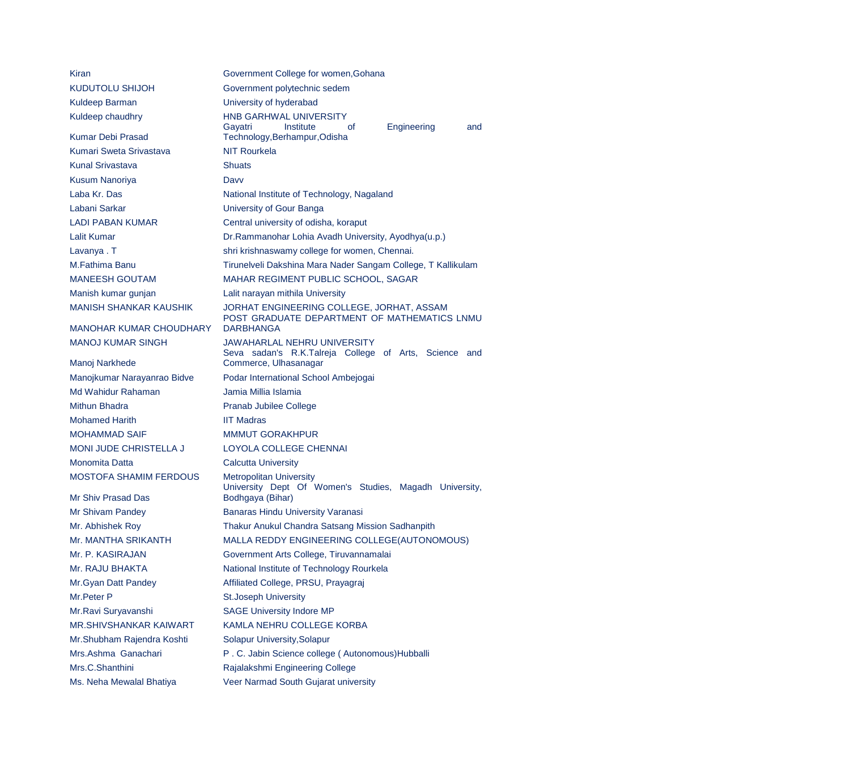| Kiran                          | Government College for women, Gohana                                                           |
|--------------------------------|------------------------------------------------------------------------------------------------|
| KUDUTOLU SHIJOH                | Government polytechnic sedem                                                                   |
| Kuldeep Barman                 | University of hyderabad                                                                        |
| Kuldeep chaudhry               | <b>HNB GARHWAL UNIVERSITY</b><br>Gayatri<br>Institute<br>Engineering<br>0f<br>and              |
| <b>Kumar Debi Prasad</b>       | Technology, Berhampur, Odisha                                                                  |
| Kumari Sweta Srivastava        | <b>NIT Rourkela</b>                                                                            |
| <b>Kunal Srivastava</b>        | <b>Shuats</b>                                                                                  |
| <b>Kusum Nanoriya</b>          | Davy                                                                                           |
| Laba Kr. Das                   | National Institute of Technology, Nagaland                                                     |
| Labani Sarkar                  | University of Gour Banga                                                                       |
| <b>LADI PABAN KUMAR</b>        | Central university of odisha, koraput                                                          |
| <b>Lalit Kumar</b>             | Dr. Rammanohar Lohia Avadh University, Ayodhya(u.p.)                                           |
| Lavanya. T                     | shri krishnaswamy college for women, Chennai.                                                  |
| M.Fathima Banu                 | Tirunelveli Dakshina Mara Nader Sangam College, T Kallikulam                                   |
| <b>MANEESH GOUTAM</b>          | MAHAR REGIMENT PUBLIC SCHOOL, SAGAR                                                            |
| Manish kumar gunjan            | Lalit narayan mithila University                                                               |
| <b>MANISH SHANKAR KAUSHIK</b>  | JORHAT ENGINEERING COLLEGE, JORHAT, ASSAM<br>POST GRADUATE DEPARTMENT OF MATHEMATICS LNMU      |
| <b>MANOHAR KUMAR CHOUDHARY</b> | <b>DARBHANGA</b>                                                                               |
| <b>MANOJ KUMAR SINGH</b>       | <b>JAWAHARLAL NEHRU UNIVERSITY</b><br>Seva sadan's R.K.Talreja College of Arts, Science<br>and |
| Manoj Narkhede                 | Commerce, Ulhasanagar                                                                          |
| Manojkumar Narayanrao Bidve    | Podar International School Ambejogai                                                           |
| Md Wahidur Rahaman             | Jamia Millia Islamia                                                                           |
| Mithun Bhadra                  | <b>Pranab Jubilee College</b>                                                                  |
| <b>Mohamed Harith</b>          | <b>IIT Madras</b>                                                                              |
| <b>MOHAMMAD SAIF</b>           | <b>MMMUT GORAKHPUR</b>                                                                         |
| MONI JUDE CHRISTELLA J         | LOYOLA COLLEGE CHENNAI                                                                         |
| Monomita Datta                 | <b>Calcutta University</b>                                                                     |
| <b>MOSTOFA SHAMIM FERDOUS</b>  | <b>Metropolitan University</b><br>University Dept Of Women's Studies, Magadh University,       |
| Mr Shiv Prasad Das             | Bodhgaya (Bihar)                                                                               |
| Mr Shivam Pandey               | Banaras Hindu University Varanasi                                                              |
| Mr. Abhishek Roy               | Thakur Anukul Chandra Satsang Mission Sadhanpith                                               |
| Mr. MANTHA SRIKANTH            | MALLA REDDY ENGINEERING COLLEGE(AUTONOMOUS)                                                    |
| Mr. P. KASIRAJAN               | Government Arts College, Tiruvannamalai                                                        |
| Mr. RAJU BHAKTA                | National Institute of Technology Rourkela                                                      |
| Mr. Gyan Datt Pandey           | Affiliated College, PRSU, Prayagraj                                                            |
| Mr.Peter P                     | <b>St.Joseph University</b>                                                                    |
| Mr.Ravi Suryavanshi            | <b>SAGE University Indore MP</b>                                                               |
| MR.SHIVSHANKAR KAIWART         | KAMLA NEHRU COLLEGE KORBA                                                                      |

Mr.Shubham Rajendra Koshti Solapur University, Solapur

Mrs.Ashma Ganachari P.C. Jabin Science college ( Autonomous)Hubballi

Mrs.C.Shanthini Rajalakshmi Engineering College

Ms. Neha Mewalal Bhatiya Veer Narmad South Gujarat university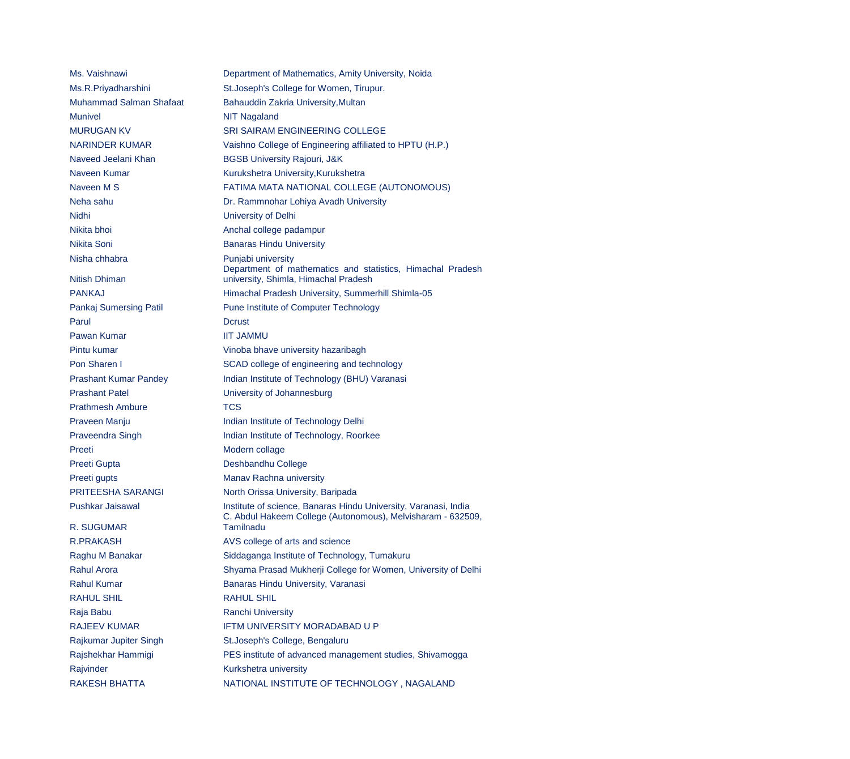Ms. Vaishnawi Department of Mathematics, Amity University, Noida Ms.R.Priyadharshini St.Joseph's College for Women, Tirupur. Muhammad Salman Shafaat Bahauddin Zakria University, Multan Munivel Munivel **NIT Nagaland** Nidhi University of Delhi Nikita bhoi **Anchal college padampur** Nikita Soni **Banaras Hindu University** Nisha chhabra **Punjabi university** Nitish Dhiman Parul Dcrust Pawan Kumar **IIT JAMMU** Prashant Patel **Very Accord University of Johannesburg** Prathmesh Ambure TCS Preeti Modern collage Preeti Gupta **Deshbandhu College** Preeti gupts Manav Rachna university R. SUGUMAR

MURUGAN KV SRI SAIRAM ENGINEERING COLLEGE NARINDER KUMAR Vaishno College of Engineering affiliated to HPTU (H.P.) Naveed Jeelani Khan BGSB University Rajouri, J&K Naveen Kumar Kurukshetra University, Kurukshetra Naveen M S FATIMA MATA NATIONAL COLLEGE (AUTONOMOUS) Neha sahu Dr. Rammnohar Lohiya Avadh University Department of mathematics and statistics, Himachal Pradesh university, Shimla, Himachal Pradesh PANKAJ Himachal Pradesh University, Summerhill Shimla-05 Pankaj Sumersing Patil Pune Institute of Computer Technology Pintu kumar Vinoba bhave university hazaribagh Pon Sharen I SCAD college of engineering and technology Prashant Kumar Pandey **Indian Institute of Technology (BHU)** Varanasi Praveen Manju **Indian Institute of Technology Delhi** Praveendra Singh Indian Institute of Technology, Roorkee PRITEESHA SARANGI North Orissa University, Baripada Pushkar Jaisawal **Institute of science, Banaras Hindu University, Varanasi, India** C. Abdul Hakeem College (Autonomous), Melvisharam - 632509, Tamilnadu R.PRAKASH AVS college of arts and science Raghu M Banakar Siddaganga Institute of Technology, Tumakuru Rahul Arora **Shyama Prasad Mukherji College for Women, University of Delhi** Rahul Kumar **Banaras Hindu University, Varanasi** RAHUL SHIL **RAHUL SHIL** Raja Babu **Ranchi University** RAJEEV KUMAR IFTM UNIVERSITY MORADABAD U P Rajkumar Jupiter Singh St.Joseph's College, Bengaluru Rajshekhar Hammigi PES institute of advanced management studies, Shivamogga Rajvinder Kurkshetra university RAKESH BHATTA NATIONAL INSTITUTE OF TECHNOLOGY , NAGALAND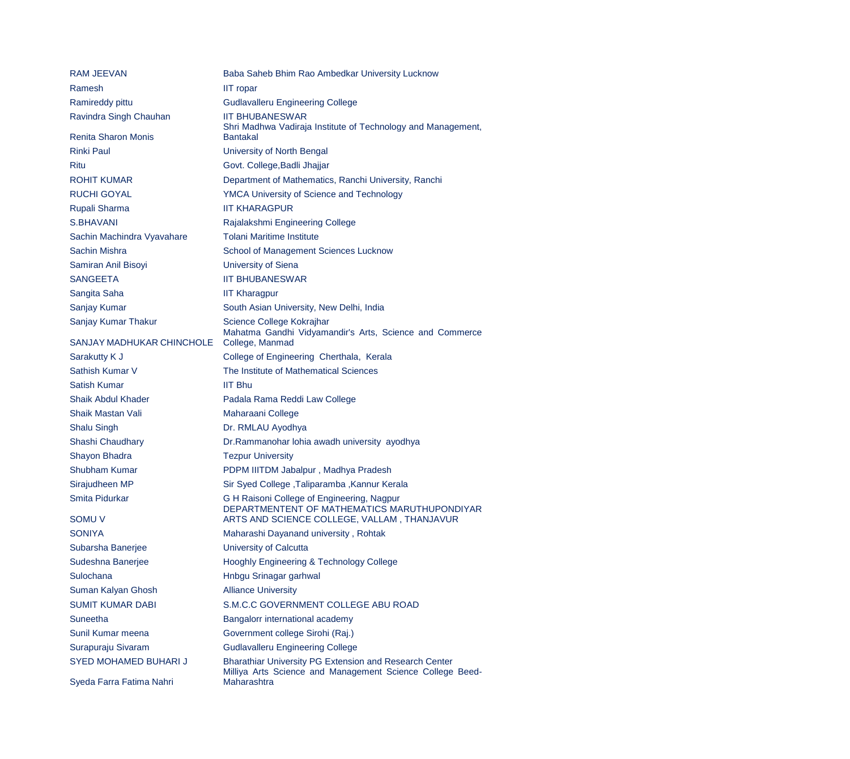| <b>RAM JEEVAN</b>          | Baba Saheb Bhim Rao Ambedkar University Lucknow                                                                            |
|----------------------------|----------------------------------------------------------------------------------------------------------------------------|
| Ramesh                     | <b>IIT</b> ropar                                                                                                           |
| Ramireddy pittu            | <b>Gudlavalleru Engineering College</b>                                                                                    |
| Ravindra Singh Chauhan     | <b>IIT BHUBANESWAR</b><br>Shri Madhwa Vadiraja Institute of Technology and Management,                                     |
| <b>Renita Sharon Monis</b> | <b>Bantakal</b>                                                                                                            |
| <b>Rinki Paul</b>          | University of North Bengal                                                                                                 |
| Ritu                       | Govt. College, Badli Jhajjar                                                                                               |
| <b>ROHIT KUMAR</b>         | Department of Mathematics, Ranchi University, Ranchi                                                                       |
| <b>RUCHI GOYAL</b>         | <b>YMCA University of Science and Technology</b>                                                                           |
| Rupali Sharma              | <b>IIT KHARAGPUR</b>                                                                                                       |
| S.BHAVANI                  | Rajalakshmi Engineering College                                                                                            |
| Sachin Machindra Vyavahare | <b>Tolani Maritime Institute</b>                                                                                           |
| Sachin Mishra              | School of Management Sciences Lucknow                                                                                      |
| Samiran Anil Bisoyi        | <b>University of Siena</b>                                                                                                 |
| <b>SANGEETA</b>            | <b>IIT BHUBANESWAR</b>                                                                                                     |
| Sangita Saha               | <b>IIT Kharagpur</b>                                                                                                       |
| Sanjay Kumar               | South Asian University, New Delhi, India                                                                                   |
| Sanjay Kumar Thakur        | Science College Kokrajhar<br>Mahatma Gandhi Vidyamandir's Arts, Science and Commerce                                       |
| SANJAY MADHUKAR CHINCHOLE  | College, Manmad                                                                                                            |
| Sarakutty K J              | College of Engineering Cherthala, Kerala                                                                                   |
| Sathish Kumar V            | The Institute of Mathematical Sciences                                                                                     |
| <b>Satish Kumar</b>        | <b>IIT Bhu</b>                                                                                                             |
| <b>Shaik Abdul Khader</b>  | Padala Rama Reddi Law College                                                                                              |
| <b>Shaik Mastan Vali</b>   | Maharaani College                                                                                                          |
| <b>Shalu Singh</b>         | Dr. RMLAU Ayodhya                                                                                                          |
| Shashi Chaudhary           | Dr.Rammanohar lohia awadh university ayodhya                                                                               |
| Shayon Bhadra              | <b>Tezpur University</b>                                                                                                   |
| Shubham Kumar              | PDPM IIITDM Jabalpur, Madhya Pradesh                                                                                       |
| Sirajudheen MP             | Sir Syed College , Taliparamba , Kannur Kerala                                                                             |
| Smita Pidurkar             | G H Raisoni College of Engineering, Nagpur<br>DEPARTMENTENT OF MATHEMATICS MARUTHUPONDIYAR                                 |
| <b>SOMU V</b>              | ARTS AND SCIENCE COLLEGE, VALLAM, THANJAVUR                                                                                |
| <b>SONIYA</b>              | Maharashi Dayanand university, Rohtak                                                                                      |
| Subarsha Banerjee          | <b>University of Calcutta</b>                                                                                              |
| Sudeshna Banerjee          | <b>Hooghly Engineering &amp; Technology College</b>                                                                        |
| Sulochana                  | Hnbgu Srinagar garhwal                                                                                                     |
| Suman Kalyan Ghosh         | <b>Alliance University</b>                                                                                                 |
| <b>SUMIT KUMAR DABI</b>    | S.M.C.C GOVERNMENT COLLEGE ABU ROAD                                                                                        |
| <b>Suneetha</b>            | Bangalorr international academy                                                                                            |
| Sunil Kumar meena          | Government college Sirohi (Raj.)                                                                                           |
| Surapuraju Sivaram         | <b>Gudlavalleru Engineering College</b>                                                                                    |
| SYED MOHAMED BUHARI J      | <b>Bharathiar University PG Extension and Research Center</b><br>Milliya Arts Science and Management Science College Beed- |
| Syeda Farra Fatima Nahri   | Maharashtra                                                                                                                |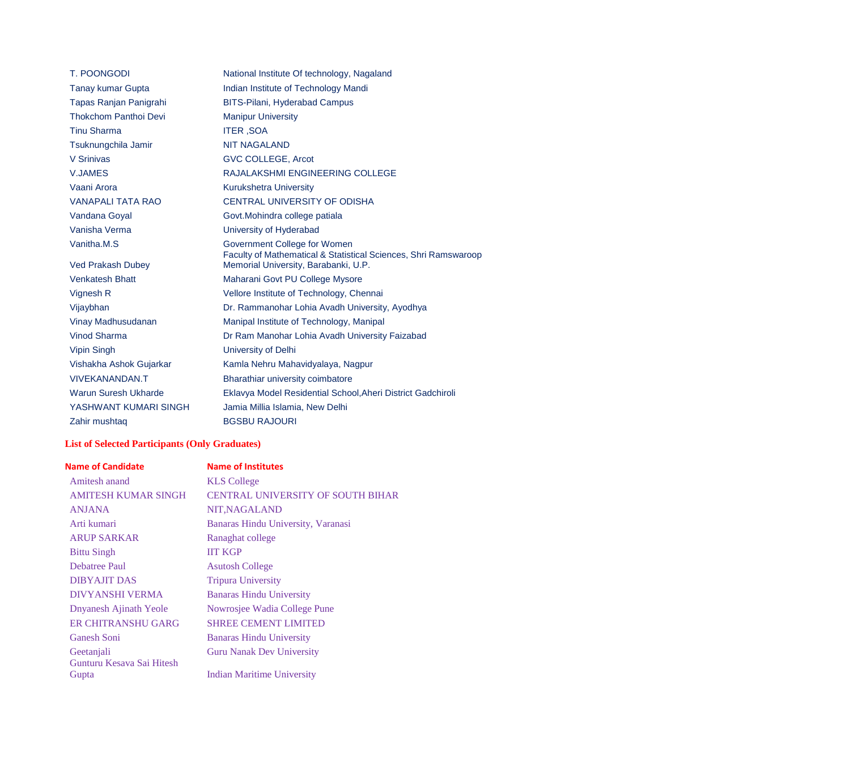| <b>T. POONGODI</b>                      | National Institute Of technology, Nagaland                                                                                              |
|-----------------------------------------|-----------------------------------------------------------------------------------------------------------------------------------------|
| <b>Tanay kumar Gupta</b>                | Indian Institute of Technology Mandi                                                                                                    |
| Tapas Ranjan Panigrahi                  | <b>BITS-Pilani, Hyderabad Campus</b>                                                                                                    |
| <b>Thokchom Panthoi Devi</b>            | <b>Manipur University</b>                                                                                                               |
| <b>Tinu Sharma</b>                      | <b>ITER, SOA</b>                                                                                                                        |
| Tsuknungchila Jamir                     | <b>NIT NAGALAND</b>                                                                                                                     |
| V Srinivas                              | <b>GVC COLLEGE, Arcot</b>                                                                                                               |
| <b>V.JAMES</b>                          | RAJALAKSHMI ENGINEERING COLLEGE                                                                                                         |
| Vaani Arora                             | <b>Kurukshetra University</b>                                                                                                           |
| <b>VANAPALI TATA RAO</b>                | <b>CENTRAL UNIVERSITY OF ODISHA</b>                                                                                                     |
| Vandana Goyal                           | Govt. Mohindra college patiala                                                                                                          |
| Vanisha Verma                           | University of Hyderabad                                                                                                                 |
| Vanitha.M.S<br><b>Ved Prakash Dubey</b> | Government College for Women<br>Faculty of Mathematical & Statistical Sciences, Shri Ramswaroop<br>Memorial University, Barabanki, U.P. |
| <b>Venkatesh Bhatt</b>                  | Maharani Govt PU College Mysore                                                                                                         |
| Vignesh R                               | Vellore Institute of Technology, Chennai                                                                                                |
| Vijaybhan                               | Dr. Rammanohar Lohia Avadh University, Ayodhya                                                                                          |
| Vinay Madhusudanan                      | Manipal Institute of Technology, Manipal                                                                                                |
| Vinod Sharma                            | Dr Ram Manohar Lohia Avadh University Faizabad                                                                                          |
| <b>Vipin Singh</b>                      | University of Delhi                                                                                                                     |
| Vishakha Ashok Gujarkar                 | Kamla Nehru Mahavidyalaya, Nagpur                                                                                                       |
| <b>VIVEKANANDAN.T</b>                   | Bharathiar university coimbatore                                                                                                        |
| Warun Suresh Ukharde                    | Eklavya Model Residential School, Aheri District Gadchiroli                                                                             |
| YASHWANT KUMARI SINGH                   | Jamia Millia Islamia, New Delhi                                                                                                         |
| Zahir mushtaq                           | <b>BGSBU RAJOURI</b>                                                                                                                    |

## **List of Selected Participants (Only Graduates)**

#### **Name of Candidate Name of Institutes**

| Amitesh anand                      | <b>KLS College</b>                       |
|------------------------------------|------------------------------------------|
| <b>AMITESH KUMAR SINGH</b>         | <b>CENTRAL UNIVERSITY OF SOUTH BIHAR</b> |
| <b>ANJANA</b>                      | NIT, NAGALAND                            |
| Arti kumari                        | Banaras Hindu University, Varanasi       |
| <b>ARUP SARKAR</b>                 | Ranaghat college                         |
| <b>Bittu Singh</b>                 | <b>IIT KGP</b>                           |
| <b>Debatree Paul</b>               | <b>Asutosh College</b>                   |
| <b>DIBYAJIT DAS</b>                | <b>Tripura University</b>                |
| <b>DIVYANSHI VERMA</b>             | <b>Banaras Hindu University</b>          |
| <b>Dnyanesh Ajinath Yeole</b>      | Nowrosjee Wadia College Pune             |
| ER CHITRANSHU GARG                 | <b>SHREE CEMENT LIMITED</b>              |
| <b>Ganesh Soni</b>                 | <b>Banaras Hindu University</b>          |
| Geetanjali                         | <b>Guru Nanak Dev University</b>         |
| Gunturu Kesava Sai Hitesh<br>Gupta | <b>Indian Maritime University</b>        |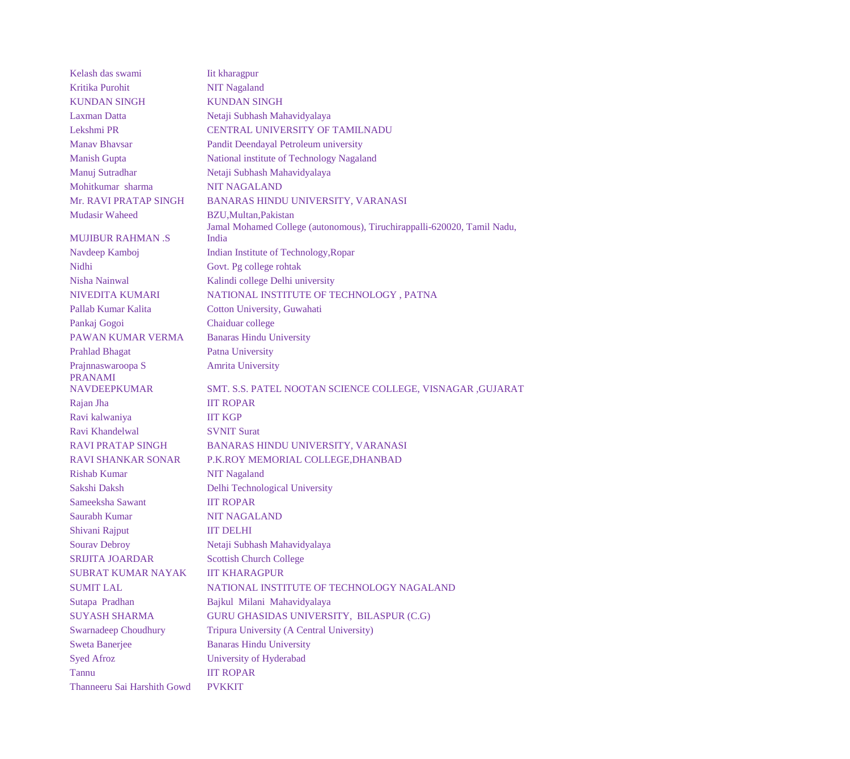Kelash das swami Iit kharagpur Kritika Purohit NIT Nagaland KUNDAN SINGH KUNDAN SINGH Laxman Datta Netaji Subhash Mahavidyalaya Lekshmi PR CENTRAL UNIVERSITY OF TAMILNADU Manav Bhavsar Pandit Deendayal Petroleum university Manish Gupta National institute of Technology Nagaland Manuj Sutradhar Netaji Subhash Mahavidyalaya Mohitkumar sharma NIT NAGALAND Mr. RAVI PRATAP SINGH BANARAS HINDU UNIVERSITY, VARANASI Mudasir Waheed BZU,Multan,Pakistan MUJIBUR RAHMAN .S Jamal Mohamed College (autonomous), Tiruchirappalli-620020, Tamil Nadu, India Navdeep Kamboj Indian Institute of Technology,Ropar Nidhi Govt. Pg college rohtak Nisha Nainwal Kalindi college Delhi university NIVEDITA KUMARI NATIONAL INSTITUTE OF TECHNOLOGY , PATNA Pallab Kumar Kalita Cotton University, Guwahati Pankaj Gogoi Chaiduar college PAWAN KUMAR VERMA<br>Banaras Hindu University Prahlad Bhagat Patna University Prajnnaswaroopa S Amrita University PRANAMI NAVDEEPKUMAR SMT. S.S. PATEL NOOTAN SCIENCE COLLEGE, VISNAGAR ,GUJARAT Rajan Jha IIT ROPAR Ravi kalwaniya IIT KGP Ravi Khandelwal SVNIT Surat RAVI PRATAP SINGH BANARAS HINDU UNIVERSITY, VARANASI RAVI SHANKAR SONAR P.K.ROY MEMORIAL COLLEGE,DHANBAD Rishab Kumar NIT Nagaland Sakshi Daksh Delhi Technological University Sameeksha Sawant **IIT ROPAR** Saurabh Kumar NIT NAGALAND Shivani Rajput IIT DELHI Sourav Debroy Netaji Subhash Mahavidyalaya SRIJITA JOARDAR Scottish Church College SUBRAT KUMAR NAYAK IIT KHARAGPUR SUMIT LAL NATIONAL INSTITUTE OF TECHNOLOGY NAGALAND Sutapa Pradhan Bajkul Milani Mahavidyalaya SUYASH SHARMA GURU GHASIDAS UNIVERSITY, BILASPUR (C.G) Swarnadeep Choudhury Tripura University (A Central University) Sweta Banerjee Banaras Hindu University Syed Afroz University of Hyderabad Tannu IIT ROPAR Thanneeru Sai Harshith Gowd PVKKIT